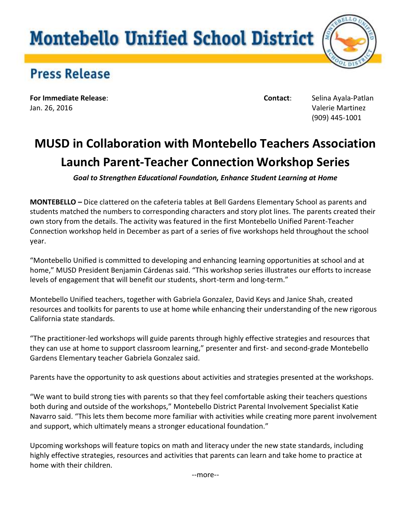## **Montebello Unified School District**



## **Press Release**

**For Immediate Release**: **Contact**: Selina Ayala-Patlan Jan. 26, 2016 Valerie Martinez

(909) 445-1001

## **MUSD in Collaboration with Montebello Teachers Association Launch Parent-Teacher Connection Workshop Series**

*Goal to Strengthen Educational Foundation, Enhance Student Learning at Home*

**MONTEBELLO** *–* Dice clattered on the cafeteria tables at Bell Gardens Elementary School as parents and students matched the numbers to corresponding characters and story plot lines. The parents created their own story from the details. The activity was featured in the first Montebello Unified Parent-Teacher Connection workshop held in December as part of a series of five workshops held throughout the school year.

"Montebello Unified is committed to developing and enhancing learning opportunities at school and at home," MUSD President Benjamin Cárdenas said. "This workshop series illustrates our efforts to increase levels of engagement that will benefit our students, short-term and long-term."

Montebello Unified teachers, together with Gabriela Gonzalez, David Keys and Janice Shah, created resources and toolkits for parents to use at home while enhancing their understanding of the new rigorous California state standards.

"The practitioner-led workshops will guide parents through highly effective strategies and resources that they can use at home to support classroom learning," presenter and first- and second-grade Montebello Gardens Elementary teacher Gabriela Gonzalez said.

Parents have the opportunity to ask questions about activities and strategies presented at the workshops.

"We want to build strong ties with parents so that they feel comfortable asking their teachers questions both during and outside of the workshops," Montebello District Parental Involvement Specialist Katie Navarro said. "This lets them become more familiar with activities while creating more parent involvement and support, which ultimately means a stronger educational foundation."

Upcoming workshops will feature topics on math and literacy under the new state standards, including highly effective strategies, resources and activities that parents can learn and take home to practice at home with their children.

--more--